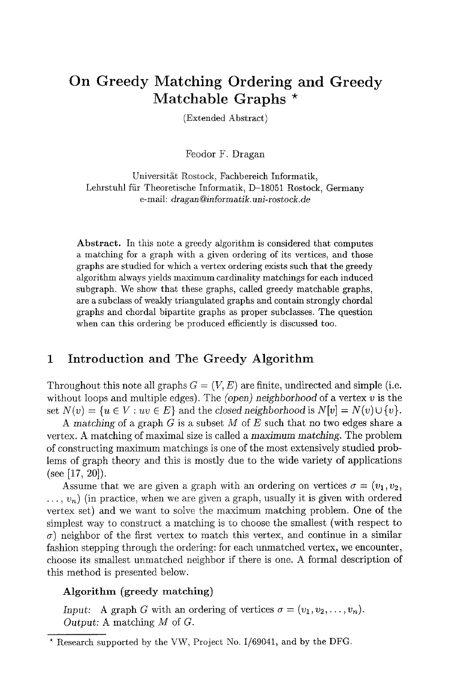# **On Greedy Matching Ordering and Greedy Matchable Graphs \***

(Extended Abstract)

Feodor F. Dragan

Universität Rostock, Fachbereich Informatik, Lehrstuhl fiir Theoretische Informatik, D-18051 Rostock, Germany e-mail: *dragan@informatik.uni-rostock.de* 

Abstract. In this note a greedy algorithm is considered that computes a matching for a graph with a given ordering of its vertices, and those graphs are studied for which a vertex ordering exists such that the greedy algorithm always yields maximum cardinality matchings for each induced subgraph. We show that these graphs, called greedy matchable graphs, are a subclass of weakly triangulated graphs and contain strongly chordal graphs and chordal bipartite graphs as proper subclasses. The question when can this ordering be produced efficiently is discussed too.

## **1 Introduction and The Greedy Algorithm**

Throughout this note all graphs  $G = (V, E)$  are finite, undirected and simple (i.e. without loops and multiple edges). The *(open) neighborhood* of a vertex v is the set  $N(v) = \{u \in V : uv \in E\}$  and the *closed neighborhood* is  $N[v] = N(v) \cup \{v\}$ .

*A matching* of a graph G is a subset M of E such that no two edges share a vertex. A matching of maximal size is called a maximum *matching.* The problem of constructing maximum matchings is one of the most extensively studied problems of graph theory and this is mostly due to the wide variety of applications (see [17, 20]).

Assume that we are given a graph with an ordering on vertices  $\sigma = (v_1, v_2,$  $..., v_n$ ) (in practice, when we are given a graph, usually it is given with ordered vertex set) and we want to solve the maximum matching problem. One of the simplest way to construct a matching is to choose the smallest (with respect to  $\sigma$ ) neighbor of the first vertex to match this vertex, and continue in a similar fashion stepping through the ordering: for each unmatched vertex, we encounter, choose its smallest unmatched neighbor if there is one. A formal description of this method is presented below.

#### Algorithm (greedy **matching)**

*Input:* A graph G with an ordering of vertices  $\sigma = (v_1, v_2, \ldots, v_n)$ . *Output:* A matching M of G.

<sup>\*</sup> Research supported by the VW, Project No. 1/69041, and by the DFG.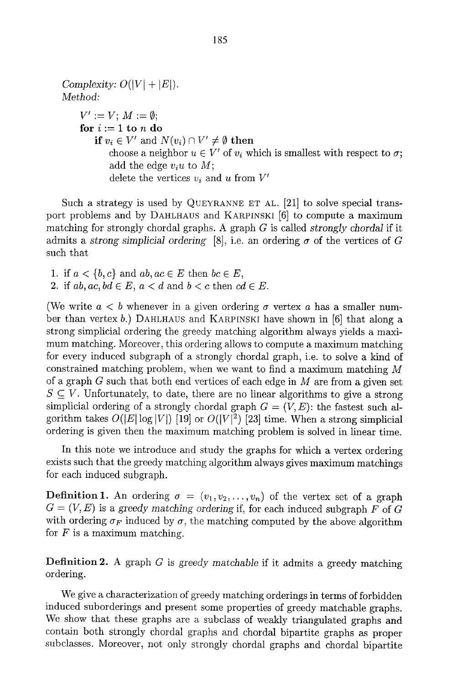*Complexity:*  $O(|V| + |E|)$ *. Method:*   $V' := V$ ;  $M := \emptyset$ ; for  $i := 1$  to n do if  $v_i \in V'$  and  $N(v_i) \cap V' \neq \emptyset$  then choose a neighbor  $u \in V'$  of  $v_i$  which is smallest with respect to  $\sigma$ ; add the edge  $v_iu$  to  $M$ ; delete the vertices  $v_i$  and u from  $V'$ 

Such a strategy is used by QUEYRANNE ET AL. [21] to solve special transport problems and by DAHLHAUS and KARPINSKI [6] to compute a maximum matching for strongly chordal graphs. A graph G is called *strongly chordal* if it admits a *strong simplicial ordering* [8], i.e. an ordering  $\sigma$  of the vertices of G such that

1. if  $a < \{b, c\}$  and  $ab, ac \in E$  then  $bc \in E$ , 2. if  $ab, ac, bd \in E$ ,  $a < d$  and  $b < c$  then  $cd \in E$ .

(We write  $a < b$  whenever in a given ordering  $\sigma$  vertex a has a smaller number than vertex b.) DAHLHAUS and KARPINSKI have shown in [6] that along a strong simplicial ordering the greedy matching algorithm always yields a maximum matching. Moreover, this ordering allows to compute a maximum matching for every induced subgraph of a strongly chordal graph, i.e. to solve a kind of constrained matching problem, when we want to find a maximum matching M of a graph  $G$  such that both end vertices of each edge in  $M$  are from a given set  $S \subset V$ . Unfortunately, to date, there are no linear algorithms to give a strong simplicial ordering of a strongly chordal graph  $G = (V, E)$ : the fastest such algorithm takes  $O(|E| \log |V|)$  [19] or  $O(|V|^2)$  [23] time. When a strong simplicial ordering is given then the maximum matching problem is solved in linear time.

In this note we introduce and study the graphs for which a vertex ordering exists such that the greedy matching algorithm always gives maximum matchings for each induced subgraph.

**Definition 1.** An ordering  $\sigma = (v_1, v_2, \ldots, v_n)$  of the vertex set of a graph  $G = (V, E)$  is a greedy matching ordering if, for each induced subgraph F of G with ordering  $\sigma_F$  induced by  $\sigma$ , the matching computed by the above algorithm for  $F$  is a maximum matching.

Definition 2. A graph G is *greedy matchable* if it admits a greedy matching ordering.

We give a characterization of greedy matching orderings in terms of forbidden induced suborderings and present some properties of greedy matchable graphs. We show that these graphs are a subclass of weakly triangulated graphs and contain both strongly chordal graphs and chordal bipartite graphs as proper subclasses. Moreover, not only strongly chordal graphs and chordal bipartite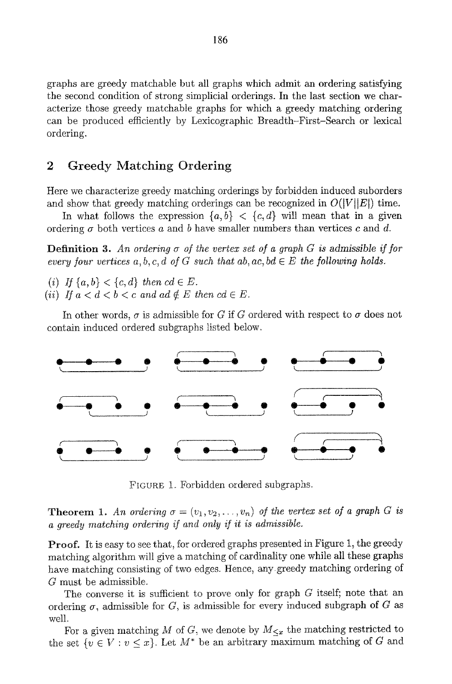graphs are greedy matchable but all graphs which admit an ordering satisfying the second condition of strong simplicial orderings. In the last section we characterize those greedy matchable graphs for which a greedy matching ordering can be produced efficiently by Lexicographic Breadth-First-Search or lexieat ordering.

# **2 Greedy Matching Ordering**

Here we characterize greedy matching orderings by forbidden induced suborders and show that greedy matching orderings can be recognized in  $O(|V||E|)$  time.

In what follows the expression  $\{a, b\} < \{c, d\}$  will mean that in a given ordering  $\sigma$  both vertices a and b have smaller numbers than vertices c and d.

**Definition 3.** An ordering  $\sigma$  of the vertex set of a graph G is admissible if for *every four vertices*  $a, b, c, d$  *of G such that*  $ab, ac, bd \in E$  *the following holds.* 

*(i)* If  $\{a, b\} < \{c, d\}$  then  $cd \in E$ .

(*ii*) If  $a < d < b < c$  and  $ad \notin E$  then  $cd \in E$ .

In other words,  $\sigma$  is admissible for G if G ordered with respect to  $\sigma$  does not contain induced ordered subgraphs listed below.



FIGURE 1. Forbidden ordered subgraphs.

**Theorem 1.** An ordering  $\sigma = (v_1, v_2, \ldots, v_n)$  of the vertex set of a graph G is a greedy matching ordering if and only if it is admissible.

**Proof.** It is easy to see that, for ordered graphs presented in Figure 1, the greedy matching algorithm will give a matching of cardinality one while all these graphs have matching consisting of two edges. Hence, any greedy matching ordering of G must be admissible.

The converse it is sufficient to prove only for graph  $G$  itself; note that an ordering  $\sigma$ , admissible for  $G$ , is admissible for every induced subgraph of  $G$  as well.

For a given matching M of G, we denote by  $M_{\leq x}$  the matching restricted to the set  $\{v \in V : v \leq x\}$ . Let  $M^*$  be an arbitrary maximum matching of G and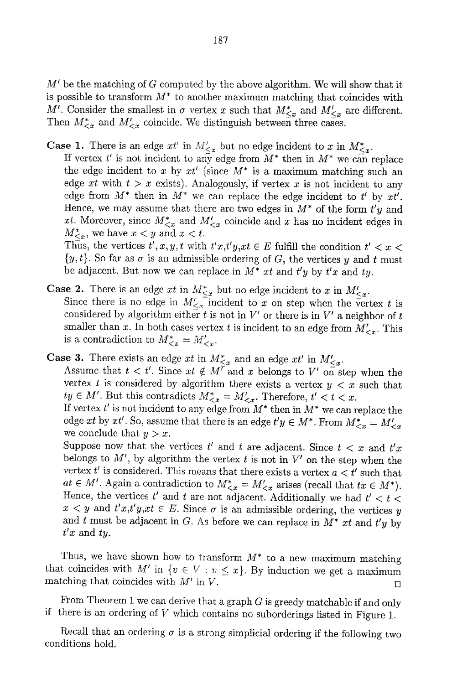$M'$  be the matching of G computed by the above algorithm. We will show that it is possible to transform  $M^*$  to another maximum matching that coincides with M'. Consider the smallest in  $\sigma$  vertex x such that  $M^*_{\leq x}$  and  $M'_{\leq x}$  are different. Then  $M_{< x}^*$  and  $M_{< x}^\prime$  coincide. We distinguish between three cases.

**Case 1.** There is an edge  $xt'$  in  $M'_{\leq x}$  but no edge incident to x in  $M^*_{\leq x}$ .

If vertex  $t'$  is not incident to any edge from  $M^*$  then in  $M^*$  we can replace the edge incident to x by  $xt'$  (since  $M^*$  is a maximum matching such an edge  $xt$  with  $t > x$  exists). Analogously, if vertex  $x$  is not incident to any edge from  $M^*$  then in  $M^*$  we can replace the edge incident to t' by  $xt'.$ Hence, we may assume that there are two edges in  $M^*$  of the form  $t'y$  and xt. Moreover, since  $M^*_{\leq x}$  and  $M'_{\leq x}$  coincide and x has no incident edges in  $M^*_{\leq x}$ , we have  $x < y$  and  $x < t$ .

Thus, the vertices  $t', x, y, t$  with  $t'x, t'y, xt \in E$  fulfill the condition  $t' < x <$  $\{y, t\}$ . So far as  $\sigma$  is an admissible ordering of G, the vertices y and t must be adjacent. But now we can replace in  $M^*$  xt and  $t'y$  by  $t'x$  and  $ty$ .

- **Case 2.** There is an edge xt in  $M^*_{\leq x}$  but no edge incident to x in  $M'_{\leq x}$ . Since there is no edge in  $M'_{\leq x}$  incident to x on step when the vertex t is considered by algorithm either  $t$  is not in  $V'$  or there is in  $V'$  a neighbor of  $t$ smaller than x. In both cases vertex t is incident to an edge from  $M'_{\leq x}$ . This is a contradiction to  $M^*_{\leq x} = M'_{\leq x}$ .
- Case 3. There exists an edge xt in  $M^*_{\leq r}$  and an edge xt' in  $M'_{\leq r}$ . Assume that  $t < t'$ . Since  $xt \notin M'$  and x belongs to V' on step when the vertex t is considered by algorithm there exists a vertex  $y < x$  such that  $ty \in M'$ . But this contradicts  $M^*_{\leq x} = M'_{\leq x}$ . Therefore,  $t' < t < x$ . If vertex  $t'$  is not incident to any edge from  $M^*$  then in  $M^*$  we can replace the

edge *xt* by *xt'*. So, assume that there is an edge  $t'y \in M^*$ . From  $M^*_{\leq x} = M'_{\leq x}$ we conclude that  $y > x$ .

Suppose now that the vertices  $t'$  and  $t$  are adjacent. Since  $t < x$  and  $t'x$ belongs to  $M'$ , by algorithm the vertex t is not in  $V'$  on the step when the vertex  $t'$  is considered. This means that there exists a vertex  $a < t'$  such that  $at \in M'$ . Again a contradiction to  $M^*_{\leq x} = M'_{\leq x}$  arises (recall that  $tx \in M^*$ ). Hence, the vertices  $t'$  and t are not adjacent. Additionally we had  $t' < t <$  $x < y$  and  $t'x,t'y,xt \in E$ . Since  $\sigma$  is an admissible ordering, the vertices y and t must be adjacent in G. As before we can replace in *M\* xt* and *t'y by*   $t'x$  and  $ty$ .

Thus, we have shown how to transform  $M^*$  to a new maximum matching that coincides with M' in  $\{v \in V : v \leq x\}$ . By induction we get a maximum matching that coincides with  $M'$  in V,

From Theorem 1 we can derive that a graph  $G$  is greedy matchable if and only if there is an ordering of  $V$  which contains no suborderings listed in Figure 1.

Recall that an ordering  $\sigma$  is a strong simplicial ordering if the following two conditions hold.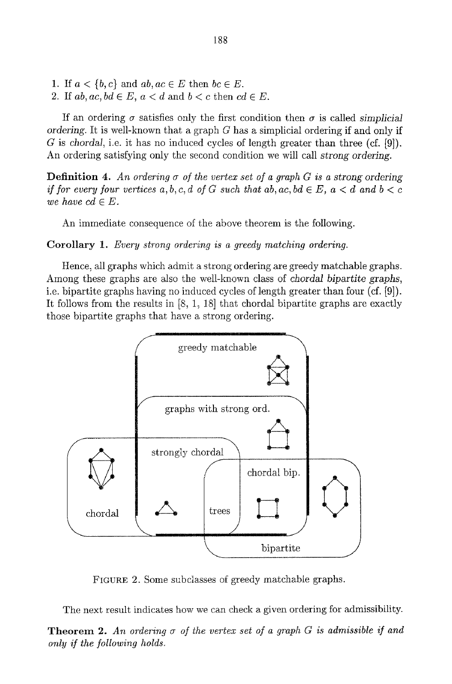- 1. If  $a < \{b, c\}$  and  $ab, ac \in E$  then  $bc \in E$ .
- 2. If  $ab, ac, bd \in E$ ,  $a < d$  and  $b < c$  then  $cd \in E$ .

If an ordering  $\sigma$  satisfies only the first condition then  $\sigma$  is called *simplicial ordering.* It is well-known that a graph G has a simplicial ordering if and only if G is *chordal,* i.e. it has no induced cycles of length greater than three (cf. [9]). An ordering satisfying only the second condition we will call *strong ordering.* 

**Definition 4.** An ordering  $\sigma$  of the vertex set of a graph G is a strong ordering *if for every four vertices*  $a, b, c, d$  *of G such that*  $ab, ac, bd \in E$ *,*  $a < d$  *and*  $b < c$ *we have cd*  $\in$  *E*.

An immediate consequence of the above theorem is the following.

Corollary 1. *Every strong ordering is a greedy matching ordering.* 

Hence, all graphs which admit a strong ordering are greedy matchable graphs. Among these graphs are also the well-known class of *chordal bipartite graphs,*  i.e. bipartite graphs having no induced cycles of length greater than four (cf. [9]). It follows from the results in [8, 1, 18] that chordal bipartite graphs are exactly those bipartite graphs that have a strong ordering.



FIGURE 2. Some subclasses of greedy matchable graphs.

The next result indicates how we can check a given ordering for admissibility.

**Theorem 2.** An ordering  $\sigma$  of the vertex set of a graph  $G$  is admissible if and *only if the following holds.*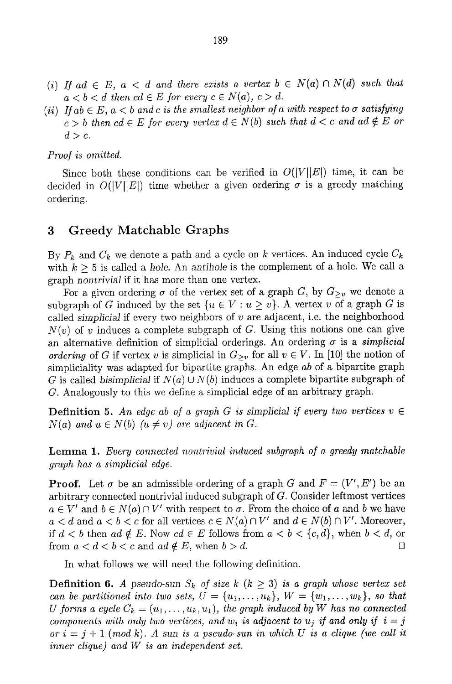- (i) If ad  $\in$  E, a  $\lt d$  and there exists a vertex  $b \in N(a) \cap N(d)$  such that  $a < b < d$  then  $cd \in E$  for every  $c \in N(a)$ ,  $c > d$ .
- *(ii)* If  $ab \in E$ ,  $a < b$  and c is the smallest neighbor of a with respect to  $\sigma$  satisfying  $c > b$  then  $cd \in E$  for every vertex  $d \in N(b)$  such that  $d < c$  and  $ad \notin E$  or  $d>c.$

#### *Proof is omitted.*

Since both these conditions can be verified in  $O(|V||E|)$  time, it can be decided in  $O(|V||E|)$  time whether a given ordering  $\sigma$  is a greedy matching ordering.

#### 3 Greedy Matchable Graphs

By  $P_k$  and  $C_k$  we denote a path and a cycle on k vertices. An induced cycle  $C_k$ with  $k > 5$  is called a *hole*. An *antihole* is the complement of a hole. We call a graph *nontrivial* if it has more than one vertex.

For a given ordering  $\sigma$  of the vertex set of a graph G, by  $G_{\geq v}$  we denote a subgraph of G induced by the set  $\{u \in V : u \ge v\}$ . A vertex v of a graph G is called *simplicial* if every two neighbors of v are adjacent, i.e. the neighborhood  $N(v)$  of v induces a complete subgraph of G. Using this notions one can give an alternative definition of simplicial orderings. An ordering  $\sigma$  is a *simplicial ordering* of G if vertex v is simplicial in  $G_{\geq v}$  for all  $v \in V$ . In [10] the notion of simpliciality was adapted for bipartite graphs. An edge *ab* of a bipartite graph G is called *bisimplicial* if  $N(a) \cup N(b)$  induces a complete bipartite subgraph of G. Analogously to this we define a simplicial edge of an arbitrary graph.

**Definition 5.** An edge ab of a graph G is simplicial if every two vertices  $v \in$  $N(a)$  and  $u \in N(b)$   $(u \neq v)$  are adjacent in G.

Lemma 1. *Every connected nontrivial induced subgraph of a greedy matchable graph has a simplicial edge.* 

**Proof.** Let  $\sigma$  be an admissible ordering of a graph G and  $F = (V', E')$  be an arbitrary connected nontrivial induced subgraph of  $G$ . Consider leftmost vertices  $a \in V'$  and  $b \in N(a) \cap V'$  with respect to  $\sigma$ . From the choice of a and b we have  $a < d$  and  $a < b < c$  for all vertices  $c \in N(a) \cap V'$  and  $d \in N(b) \cap V'$ . Moreover, if  $d < b$  then  $ad \notin E$ . Now  $cd \in E$  follows from  $a < b < \{c, d\}$ , when  $b < d$ , or from  $a < d < b < c$  and  $ad \notin E$ , when  $b > d$ .

In what follows we will need the following definition.

**Definition 6.** A pseudo-sun  $S_k$  of size k  $(k \geq 3)$  is a graph whose vertex set *can be partitioned into two sets,*  $U = \{u_1, \ldots, u_k\}$ ,  $W = \{w_1, \ldots, w_k\}$ , so that *U* forms a cycle  $C_k = (u_1, \ldots, u_k, u_1)$ , the graph induced by W has no connected *components with only two vertices, and w<sub>i</sub> is adjacent to*  $u_j$  *if and only if*  $i = j$  $or i = j + 1 \pmod{k}$ . A sun is a pseudo-sun in which U is a clique (we call it *inner clique) and W is an independent set.*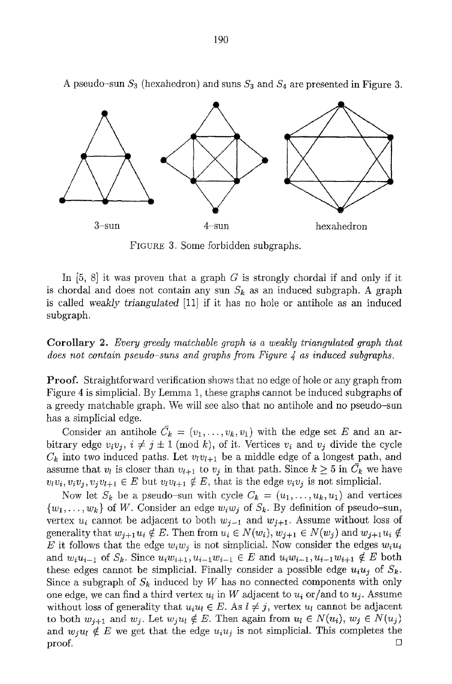

A pseudo-sun  $S_3$  (hexahedron) and suns  $S_3$  and  $S_4$  are presented in Figure 3.

FIGURE 3. Some forbidden subgraphs.

In  $[5, 8]$  it was proven that a graph G is strongly chordal if and only if it is chordal and does not contain any sun  $S_k$  as an induced subgraph. A graph is called weakly *triangulated* [11] if it has no hole or antihole as an induced subgraph.

Corollary 2. *Every greedy matchable graph is a weakly triangulated graph that does not contain pseudo-suns and graphs from Figure 4 as induced subgraphs.* 

**Proof.** Straightforward verification shows that no edge of hole or any graph from Figure 4 is simplicial. By Lemma 1, these graphs cannot be induced subgraphs of a greedy matchable graph. We will see also that no antihole and no pseudo-sun has a simplicial edge.

Consider an antihole  $C_k = (v_1, \ldots, v_k, v_1)$  with the edge set E and an arbitrary edge  $v_i v_j$ ,  $i \neq j \pm 1 \pmod{k}$ , of it. Vertices  $v_i$  and  $v_j$  divide the cycle  $C_k$  into two induced paths. Let  $v_i v_{l+1}$  be a middle edge of a longest path, and assume that  $v_l$  is closer than  $v_{l+1}$  to  $v_j$  in that path. Since  $k \geq 5$  in  $\overline{C}_k$  we have  $v_i v_i, v_i v_j, v_j v_{l+1} \in E$  but  $v_i v_{l+1} \notin E$ , that is the edge  $v_i v_j$  is not simplicial.

Now let  $S_k$  be a pseudo-sun with cycle  $C_k = (u_1, \ldots, u_k, u_1)$  and vertices  $\{w_1, \ldots, w_k\}$  of W. Consider an edge  $w_i w_j$  of  $S_k$ . By definition of pseudo-sun, vertex  $u_i$  cannot be adjacent to both  $w_{j-1}$  and  $w_{j+1}$ . Assume without loss of generality that  $w_{j+1}u_i \notin E$ . Then from  $u_i \in N(w_i)$ ,  $w_{j+1} \in N(w_j)$  and  $w_{j+1}u_i \notin E$ E it follows that the edge  $w_iw_j$  is not simplicial. Now consider the edges  $w_iu_i$ and  $w_i u_{i-1}$  of  $S_k$ . Since  $u_i w_{i+1}, u_{i-1} w_{i-1} \in E$  and  $u_i w_{i-1}, u_{i-1} w_{i+1} \notin E$  both these edges cannot be simplicial. Finally consider a possible edge  $u_i u_j$  of  $S_k$ . Since a subgraph of  $S_k$  induced by W has no connected components with only one edge, we can find a third vertex  $u_i$  in W adjacent to  $u_i$  or/and to  $u_j$ . Assume without loss of generality that  $u_i u_i \in E$ . As  $l \neq j$ , vertex  $u_l$  cannot be adjacent to both  $w_{j+1}$  and  $w_j$ . Let  $w_ju_l \notin E$ . Then again from  $u_l \in N(u_i)$ ,  $w_j \in N(u_j)$ and  $w_i u_i \notin E$  we get that the edge  $u_i u_j$  is not simplicial. This completes the proof. Ω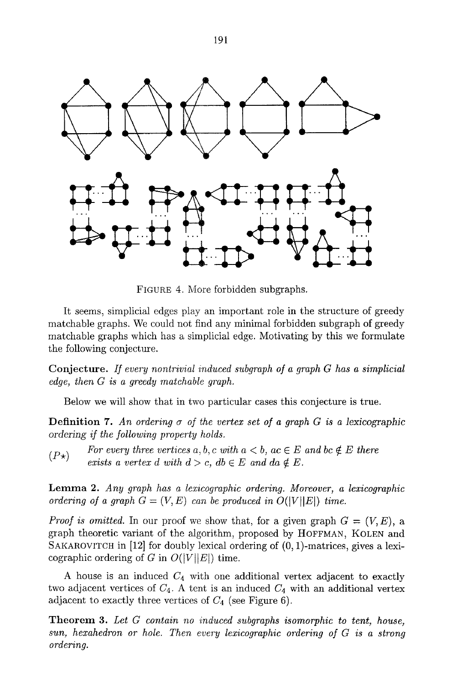

FICURE 4. More forbidden subgraphs.

It seems, simplicial edges play an important role in the structure of greedy matchable graphs. We could not find any minimal forbidden subgraph of greedy matchable graphs which has a simplicial edge. Motivating by this we formulate the following conjecture.

Conjecture. *If every nontrivial induced subgraph of a graph G has a simplicial edge, then G is a greedy matchable graph.* 

Below we will show that in two particular cases this conjecture is true.

Definition 7. *An ordering a of the vertex set of a graph G is a lexicographic ordering if the following property holds.* 

*(P* $\star$ *)* For every three vertices a, b, c with  $a < b$ , ac  $\in E$  and bc  $\notin E$  there *exists a vertex d with*  $d > c$ ,  $db \in E$  and  $da \notin E$ .

Lemma 2. *Any graph has a lexicographie ordering. Moreover, a lexicographic ordering of a graph*  $G = (V, E)$  can be produced in  $O(|V||E|)$  time.

*Proof is omitted.* In our proof we show that, for a given graph  $G = (V, E)$ , a graph theoretic variant of the algorithm, proposed by HOFFMAN, KOLEN and SAKAROVITCH in [12] for doubly lexical ordering of  $(0, 1)$ -matrices, gives a lexicographic ordering of G in  $O(|V||E|)$  time.

A house is an induced  $C_4$  with one additional vertex adjacent to exactly two adjacent vertices of  $C_4$ . A tent is an induced  $C_4$  with an additional vertex adjacent to exactly three vertices of  $C_4$  (see Figure 6).

Theorem 3. *Let G contain no induced subgraphs isomorphic to tent, house, sun, hexahedron or hole. Then every lexicographie ordering of G is a strong ordering.*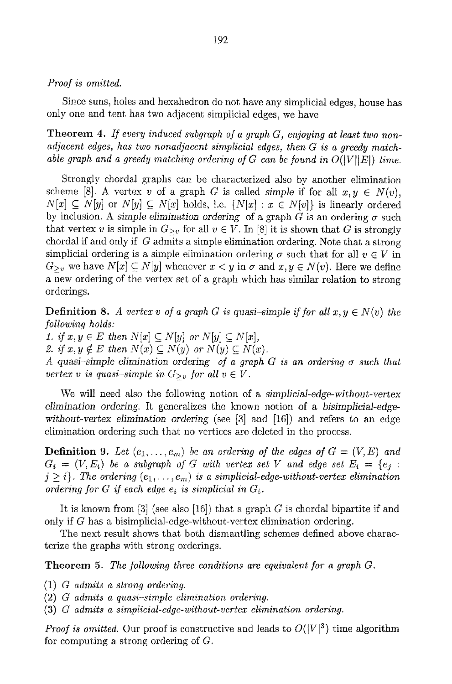#### *Proof is omitted.*

Since suns, holes and hexahedron do not have any simplicial edges, house has only one and tent has two adjacent simplicial edges, we have

Theorem 4. *If every induced subgraph of a graph G, enjoying at least two nonadjacent edges, has two nonadjacent simplicial edges, then G is a greedy matchable graph and a greedy matching ordering of G can be found in*  $O(|V||E|)$  *time.* 

Strongly chordal graphs can be characterized also by another elimination scheme [8]. A vertex v of a graph G is called *simple* if for all  $x, y \in N(v)$ ,  $N[x] \subseteq N[y]$  or  $N[y] \subseteq N[x]$  holds, i.e.  $\{N[x] : x \in N[v]\}$  is linearly ordered by inclusion. A *simple elimination ordering* of a graph  $G$  is an ordering  $\sigma$  such that vertex v is simple in  $G_{\geq v}$  for all  $v \in V$ . In [8] it is shown that G is strongly chordal if and only if G admits a simple elimination ordering. Note that a strong simplicial ordering is a simple elimination ordering  $\sigma$  such that for all  $v \in V$  in  $G_{\geq v}$  we have  $N[x] \subseteq N[y]$  whenever  $x \leq y$  in  $\sigma$  and  $x, y \in N(v)$ . Here we define a new ordering of the vertex set of a graph which has similar relation to strong orderings.

**Definition 8.** A vertex v of a graph G is quasi-simple if for all  $x, y \in N(v)$  the *following holds:* 

*1. if*  $x, y \in E$  then  $N[x] \subseteq N[y]$  or  $N[y] \subseteq N[x]$ , 2. if  $x, y \notin E$  then  $N(x) \subseteq N(y)$  or  $N(y) \subseteq N(x)$ . *A quasi-simple elimination ordering of a graph G is an ordering*  $\sigma$  *such that vertex v is quasi-simple in*  $G_{>v}$  *for all v*  $\in V$ *.* 

We will need also the following notion of a *simplicial-edge-without-vertex elimination ordering°* It generalizes the known notion of a *bisimpIicial-edgewithout-vertex elimination ordering* (see [3] and [16]) and refers to an edge elimination ordering such that no vertices are deleted in the process.

**Definition 9.** Let  $(e_1, \ldots, e_m)$  be an ordering of the edges of  $G = (V, E)$  and  $G_i = (V, E_i)$  be a subgraph of G with vertex set V and edge set  $E_i = \{e_i :$  $j \geq i$ . The ordering  $(e_1, \ldots, e_m)$  is a simplicial-edge-without-vertex elimination *ordering for G if each edge*  $e_i$  *is simplicial in*  $G_i$ *.* 

It is known from  $[3]$  (see also  $[16]$ ) that a graph G is chordal bipartite if and only if G has a bisimplicial-edge-without-vertex elimination ordering.

The next result shows that both dismantling schemes defined above characterize the graphs with strong orderings.

Theorem 5. *The following three conditions are equivalent far a graph G.* 

- (1) *G admits a strong ordering.*
- (2) *G admits a quasi-simple elimination ordering.*
- (3) *G admits a simplicial-edge-without-vertex elimination ordering.*

*Proof is omitted.* Our proof is constructive and leads to  $O(|V|^3)$  time algorithm for computing a strong ordering of C.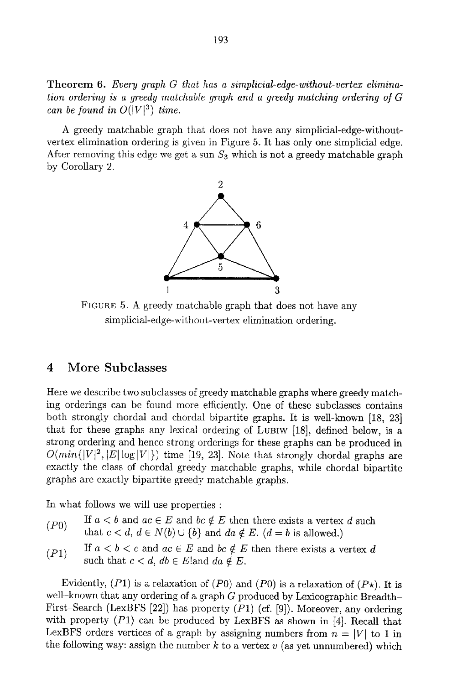Theorem 6. *Every graph G that has a simplicial-edge-without-vertex elimination ordering is a greedy matchable graph and a greedy matching ordering of G can be found in*  $O(|V|^3)$  *time.* 

A greedy matchable graph that does not have any simplicial-edge-withoutvertex elimination ordering is given in Figure 5. It has only one simplicial edge. After removing this edge we get a sun  $S_3$  which is not a greedy matchable graph by Corollary 2.



FIGURE 5. A greedy matchable graph that does not have any simplicial-edge-without-vertex elimination ordering.

## 4 More Subclasses

Here we describe two subclasses of greedy matchable graphs where greedy matching orderings can be found more efficiently. One of these subclasses contains both strongly chordal and chordal bipartite graphs. It is well-known [18, 23] that for these graphs any lexical ordering of LUBIW [18], defined below, is a strong ordering and hence strong orderings for these graphs can be produced in  $O(min\{|V|^2, |E|\log|V|\})$  time [19, 23]. Note that strongly chordal graphs are exactly the class of chordal greedy matchable graphs, while chordal bipartite graphs are exactly bipartite greedy matchable graphs.

In what follows we will use properties :

- (P0) If  $a < b$  and  $ac \in E$  and  $bc \notin E$  then there exists a vertex d such that  $c < d$ ,  $d \in N(b) \cup \{b\}$  and  $da \notin E$ .  $(d = b$  is allowed.)
- (P1) If  $a < b < c$  and  $ac \in E$  and  $bc \notin E$  then there exists a vertex d such that  $c < d$ ,  $db \in E$ ! and  $da \notin E$ .

Evidently,  $(P1)$  is a relaxation of  $(P0)$  and  $(P0)$  is a relaxation of  $(P<sub>\star</sub>)$ . It is well-known that any ordering of a graph  $G$  produced by Lexicographic Breadth-First-Search (LexBFS [22]) has property  $(P1)$  (cf. [9]). Moreover, any ordering with property  $(P1)$  can be produced by LexBFS as shown in [4]. Recall that LexBFS orders vertices of a graph by assigning numbers from  $n = |V|$  to 1 in the following way: assign the number  $k$  to a vertex  $v$  (as yet unnumbered) which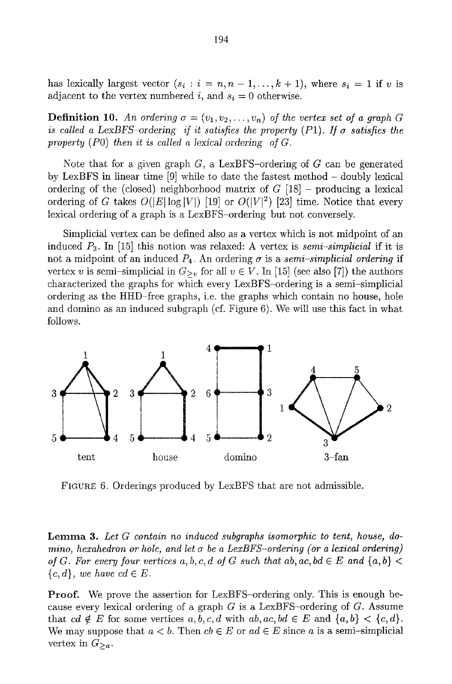has lexically largest vector  $(s_i : i = n, n-1, \ldots, k+1)$ , where  $s_i = 1$  if v is adjacent to the vertex numbered i, and  $s_i = 0$  otherwise.

**Definition 10.** An ordering  $\sigma = (v_1, v_2, \ldots, v_n)$  of the vertex set of a graph G *is called a LexBFS-ordering if it satisfies the property (P1). If*  $\sigma$  *satisfies the* property  $(P0)$  then it is called a lexical ordering of  $G$ .

Note that for a given graph  $G$ , a LexBFS-ordering of  $G$  can be generated by LexBFS in linear time [9] while to date the fastest method - doubly lexical ordering of the (closed) neighborhood matrix of  $G$  [18] – producing a lexical ordering of G takes  $O(|E|\log|V|)$  [19] or  $O(|V|^2)$  [23] time. Notice that every lexical ordering of a graph is a LexBFS-ordering but not conversely.

Simplicial vertex can be defined also as a vertex which is not midpoint of an induced P3. In [15] this notion was relaxed: A vertex is *semi-simplicial* if it is not a midpoint of an induced  $P_4$ . An ordering  $\sigma$  is a *semi-simplicial ordering* if vertex v is semi-simplicial in  $G_{\geq v}$  for all  $v \in V$ . In [15] (see also [7]) the authors characterized the graphs for which every LexBFS-ordering is a semi-simplicial ordering as the HHD-free graphs, i.e. the graphs which contain no house, hole and domino as an induced subgraph (cf. Figure 6). We will use this fact in what follows.



FIGURE 6. Orderings produced by LexBFS that are not admissible.

Lemma 3. *Let G contain no induced subgraphs isomorphic to tent, house, domino, hexahedron or hole, and let*  $\sigma$  be a LexBFS-ordering (or a lexical ordering) *of G. For every four vertices a, b, c, d of G such that ab, ac, bd*  $\in E$  and  $\{a, b\}$  <  ${c, d}$ , we have  $cd \in E$ .

Proof. We prove the assertion for LexBFS-ordering only. This is enough because every lexical ordering of a graph  $G$  is a LexBFS-ordering of  $G$ . Assume that  $cd \notin E$  for some vertices  $a, b, c, d$  with  $ab, ac, bd \in E$  and  $\{a, b\} < \{c, d\}.$ We may suppose that  $a < b$ . Then  $cb \in E$  or  $ad \in E$  since a is a semi-simplicial vertex in  $G_{\geq a}$ .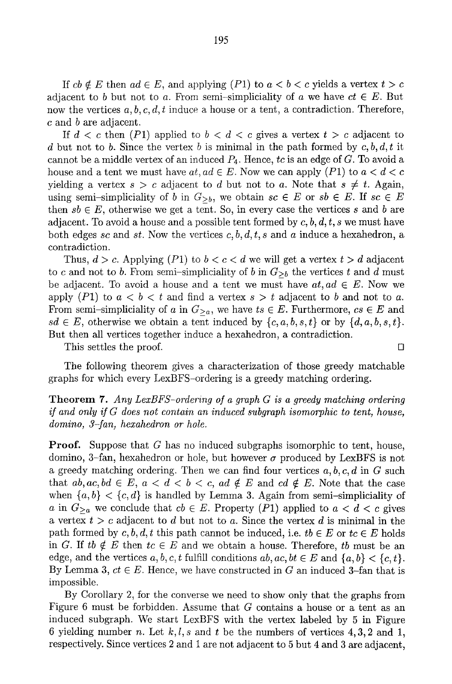If  $cb \notin E$  then  $ad \in E$ , and applying  $(P1)$  to  $a < b < c$  yields a vertex  $t > c$ adjacent to b but not to a. From semi-simpliciality of a we have  $ct \in E$ . But now the vertices  $a, b, c, d, t$  induce a house or a tent, a contradiction. Therefore, c and b are adjacent.

If  $d < c$  then (P1) applied to  $b < d < c$  gives a vertex  $t > c$  adjacent to d but not to b. Since the vertex b is minimal in the path formed by  $c, b, d, t$  it cannot be a middle vertex of an induced P4. Hence, *tc* is an edge of G. To avoid a house and a tent we must have  $at, ad \in E$ . Now we can apply  $(P1)$  to  $a < d < c$ yielding a vertex  $s > c$  adjacent to d but not to a. Note that  $s \neq t$ . Again, using semi-simpliciality of b in  $G_{\geq b}$ , we obtain  $sc \in E$  or  $sb \in E$ . If  $sc \in E$ then  $sb \in E$ , otherwise we get a tent. So, in every case the vertices s and b are adjacent. To avoid a house and a possible tent formed by  $c, b, d, t, s$  we must have both edges *sc* and *st.* Now the vertices *c, b, d, t, s* and a induce a hexahedron, a contradiction.

Thus,  $d > c$ . Applying (P1) to  $b < c < d$  we will get a vertex  $t > d$  adjacent to c and not to b. From semi-simpliciality of b in  $G_{\geq b}$  the vertices t and d must be adjacent. To avoid a house and a tent we must have  $at, ad \in E$ . Now we apply (P1) to  $a < b < t$  and find a vertex  $s > t$  adjacent to b and not to a. From semi-simpliciality of a in  $G_{\geq a}$ , we have  $ts \in E$ . Furthermore,  $cs \in E$  and  $sd \in E$ , otherwise we obtain a tent induced by  $\{c, a, b, s, t\}$  or by  $\{d, a, b, s, t\}.$ But then all vertices together induce a hexahedron, a contradiction.

This settles the proof.  $\Box$ 

The following theorem gives a characterization of those greedy matchable graphs for which every LexBFS-ordering is a greedy matching ordering.

#### Theorem 7. *Any LexBFS-ordering of a graph G is a greedy matching ordering if and only if G does not contain an induced subgraph isomorphic to tent, house, domino, 3-fan, hexahedron or hole.*

**Proof.** Suppose that  $G$  has no induced subgraphs isomorphic to tent, house, domino, 3-fan, hexahedron or hole, but however  $\sigma$  produced by LexBFS is not a greedy matching ordering. Then we can find four vertices *a, b, c, d* in G such that  $ab, ac, bd \in E$ ,  $a < d < b < c$ ,  $ad \notin E$  and  $cd \notin E$ . Note that the case when  $\{a, b\} < \{c, d\}$  is handled by Lemma 3. Again from semi-simpliciality of a in  $G_{\geq a}$  we conclude that  $cb \in E$ . Property (P1) applied to  $a < d < c$  gives a vertex  $t > c$  adjacent to d but not to a. Since the vertex d is minimal in the path formed by c, b, d, t this path cannot be induced, i.e.  $tb \in E$  or  $tc \in E$  holds in G. If *tb*  $\notin E$  then  $tc \in E$  and we obtain a house. Therefore, *tb* must be an edge, and the vertices  $a, b, c, t$  fulfill conditions  $ab, ac, bt \in E$  and  $\{a, b\} < \{c, t\}.$ By Lemma 3,  $ct \in E$ . Hence, we have constructed in G an induced 3-fan that is impossible.

By Corollary 2, for the converse we need to show only that the graphs from Figure 6 must be forbidden. Assume that G contains a house or a tent as an induced subgraph. We start LexBFS with the vertex labeled by 5 in Figure 6 yielding number *n*. Let  $k, l, s$  and t be the numbers of vertices 4, 3, 2 and 1, respectively. Since vertices 2 and 1 are not adjacent to 5 but 4 and 3 are adjacent,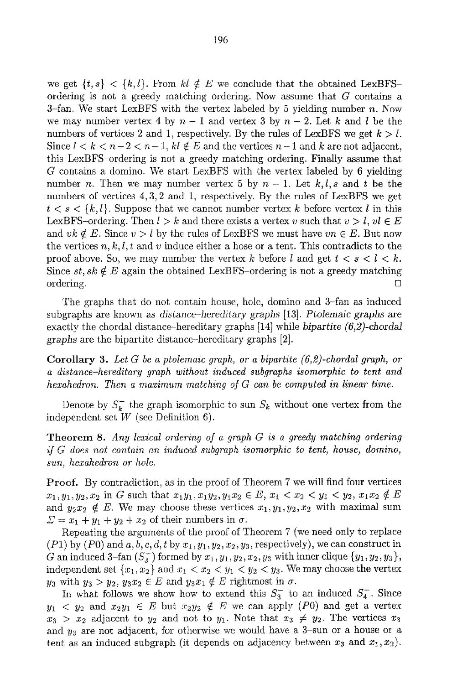we get  $\{t, s\} < \{k, l\}$ . From  $kl \notin E$  we conclude that the obtained LexBFSordering is not a greedy matching ordering. Now assume that G contains a 3-fan. We start LexBFS with the vertex labeled by 5 yielding number  $n$ . Now we may number vertex 4 by  $n-1$  and vertex 3 by  $n-2$ . Let k and l be the numbers of vertices 2 and 1, respectively. By the rules of LexBFS we get  $k > l$ . Since  $l < k < n-2 < n-1$ ,  $kl \notin E$  and the vertices  $n-1$  and k are not adjacent, this LexBFS-ordering is not a greedy matching ordering. Finally assume that G contains a domino. We start LexBFS with the vertex labeled by 6 yielding number n. Then we may number vertex 5 by  $n-1$ . Let  $k, l, s$  and t be the numbers of vertices 4, 3, 2 and 1, respectively. By the rules of LexBFS we get  $t < s < \{k, l\}$ . Suppose that we cannot number vertex k before vertex l in this LexBFS-ordering. Then  $l > k$  and there exists a vertex v such that  $v > l$ ,  $vl \in E$ and  $vk \notin E$ . Since  $v > l$  by the rules of LexBFS we must have  $vn \in E$ . But now the vertices  $n, k, l, t$  and v induce either a hose or a tent. This contradicts to the proof above. So, we may number the vertex k before l and get  $t < s < l < k$ . Since  $st, sk \notin E$  again the obtained LexBFS-ordering is not a greedy matching ordering.  $\Box$ 

The graphs that do not contain house, hole, domino and 3-fan as induced subgraphs are known as *distance-hereditary graphs* [13]. *Ptolemaic graphs* are exactly the chordal distance-hereditary graphs [141 while *bipartite (6,2)-chordal graphs* are the bipartite distance-hereditary graphs [2].

Corollary 3. *Let G be a ptolemaic graph, or a bipartite (6,2)-chordal graph, or a distance-hereditary graph without induced subgraphs isomorphic to tent and hexahedron. Then a maximum matching of G can be computed in linear time.* 

Denote by  $S_k^-$  the graph isomorphic to sun  $S_k$  without one vertex from the independent set  $W$  (see Definition 6).

Theorem 8. *Any lexieal ordering of a graph G is a greedy matching ordering if G does not contain an induced subgraph isomorphic to tent, house, domino, sun, hexahedron or hole.* 

Proof. By contradiction, as in the proof of Theorem 7 we will find four vertices  $x_1, y_1, y_2, x_2$  in G such that  $x_1y_1, x_1y_2, y_1x_2 \in E$ ,  $x_1 < x_2 < y_1 < y_2, x_1x_2 \notin E$ and  $y_2x_2 \notin E$ . We may choose these vertices  $x_1, y_1, y_2, x_2$  with maximal sum  $\Sigma = x_1 + y_1 + y_2 + x_2$  of their numbers in  $\sigma$ .

Repeating the arguments of the proof of Theorem 7 (we need only to replace  $(P1)$  by  $(P0)$  and  $a, b, c, d, t$  by  $x_1, y_1, y_2, x_2, y_3$ , respectively), we can construct in G an induced 3-fan  $(S_3^-)$  formed by  $x_1, y_1, y_2, x_2, y_3$  with inner clique  $\{y_1, y_2, y_3\}$ , independent set  $\{x_1, x_2\}$  and  $x_1 < x_2 < y_1 < y_2 < y_3$ . We may choose the vertex  $y_3$  with  $y_3 > y_2, y_3x_2 \in E$  and  $y_3x_1 \notin E$  rightmost in  $\sigma$ .

In what follows we show how to extend this  $S_3^-$  to an induced  $S_4^-$ . Since  $y_1 < y_2$  and  $x_2y_1 \in E$  but  $x_2y_2 \notin E$  we can apply (P0) and get a vertex  $x_3 > x_2$  adjacent to  $y_2$  and not to  $y_1$ . Note that  $x_3 \neq y_2$ . The vertices  $x_3$ and  $y_3$  are not adjacent, for otherwise we would have a 3-sun or a house or a tent as an induced subgraph (it depends on adjacency between  $x_3$  and  $x_1, x_2$ ).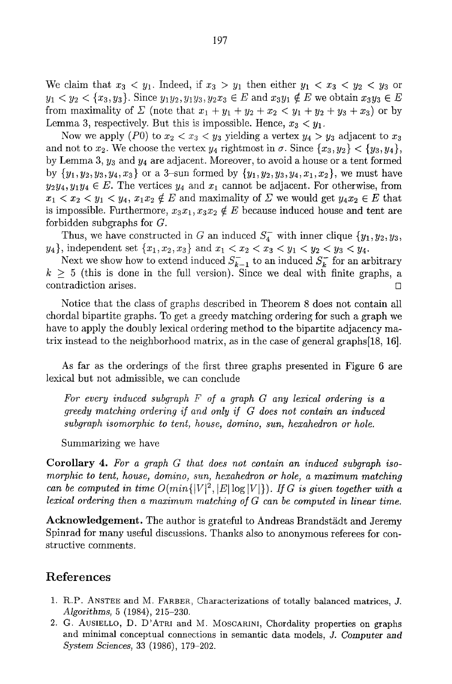We claim that  $x_3 \leq y_1$ . Indeed, if  $x_3 > y_1$  then either  $y_1 \leq x_3 \leq y_2 \leq y_3$  or  $y_1 < y_2 < \{x_3, y_3\}$ . Since  $y_1y_2, y_1y_3, y_2x_3 \in E$  and  $x_3y_1 \notin E$  we obtain  $x_3y_3 \in E$ from maximality of  $\Sigma$  (note that  $x_1 + y_1 + y_2 + x_2 < y_1 + y_2 + y_3 + x_3$ ) or by Lemma 3, respectively. But this is impossible. Hence,  $x_3 < y_1$ .

Now we apply (P0) to  $x_2 < x_3 < y_3$  yielding a vertex  $y_4 > y_3$  adjacent to  $x_3$ and not to  $x_2$ . We choose the vertex  $y_4$  rightmost in  $\sigma$ . Since  $\{x_3, y_2\} < \{y_3, y_4\},\$ by Lemma 3,  $y_3$  and  $y_4$  are adjacent. Moreover, to avoid a house or a tent formed by  $\{y_1, y_2, y_3, y_4, x_3\}$  or a 3-sun formed by  $\{y_1, y_2, y_3, y_4, x_1, x_2\}$ , we must have  $y_2y_4, y_1y_4 \in E$ . The vertices  $y_4$  and  $x_1$  cannot be adjacent. For otherwise, from  $x_1 < x_2 < y_1 < y_4$ ,  $x_1x_2 \notin E$  and maximality of  $\Sigma$  we would get  $y_4x_2 \in E$  that is impossible. Furthermore,  $x_3x_1, x_3x_2 \notin E$  because induced house and tent are forbidden subgraphs for G.

Thus, we have constructed in G an induced  $S_4^-$  with inner clique  $\{y_1, y_2, y_3,$  $y_4$ , independent set  $\{x_1, x_2, x_3\}$  and  $x_1 < x_2 < x_3 < y_1 < y_2 < y_3 < y_4$ .

Next we show how to extend induced  $S_{k-1}^-$  to an induced  $S_k^-$  for an arbitrary  $k \geq 5$  (this is done in the full version). Since we deal with finite graphs, a contradiction arises. []

Notice that the class of graphs described in Theorem 8 does not contain all chordal bipartite graphs. To get a greedy matching ordering for such a graph we have to apply the doubly lexical ordering method to the bipartite adjacency matrix instead to the neighborhood matrix, as in the case of general graphs[18, 16].

As far as the orderings of the first three graphs presented in Figure 6 are lexical but not admissible, we can conclude

*For every induced subgraph F of a graph G any lexical ordering is a greedy matching ordering if and only if G does not contain an induced*   $subgraph$  isomorphic to tent, house, domino, sun, hexahedron or hole.

Summarizing we have

Corollary 4. *For a graph G that does not contain an induced subgraph isomorphic to tent, house, domino, sun, hexahedron or hole, a maximum matching can be computed in time*  $O(min\{|V|^2, |E| \log |V|\})$ *. If G is given together with a lexical ordering then a maximum matching of G can be computed in linear time.* 

Acknowledgement. The author is grateful to Andreas Brandstädt and Jeremy Spinrad for many useful discussions. Thanks also to anonymous referees for constructive comments.

### **References**

- 1. R.P. ANSTEE and M. FARBER, Characterizations of totally balanced matrices, J. *Algorithms,* 5 (1984), 215-230.
- 2. G. AUSIELLO, D. D'ATRI and M. MOSCARINI, Chordality properties on graphs and minimal conceptual connections in semantic data models, J. Computer and *System Sciences,* 33 (1986), 179-202.